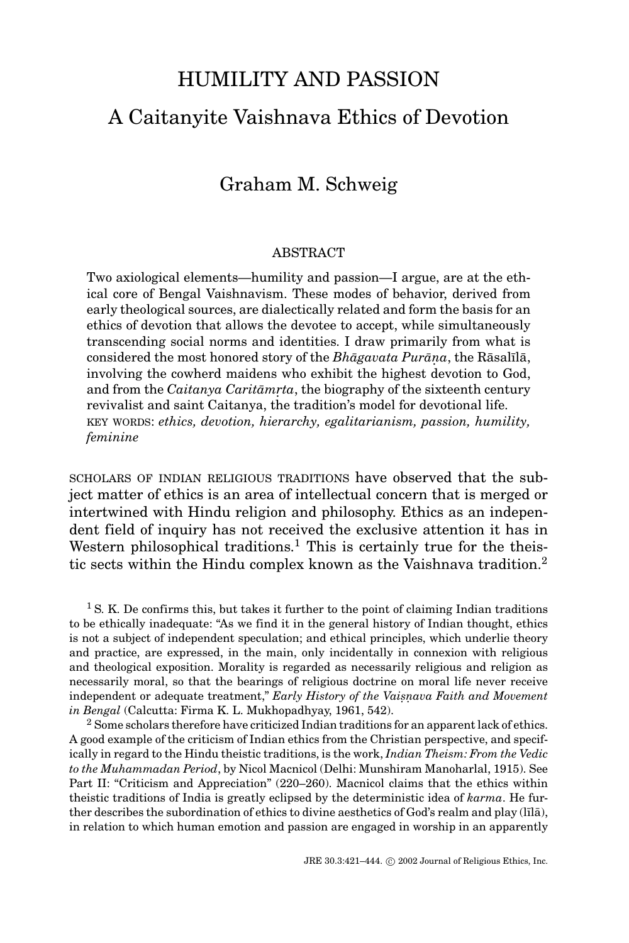# HUMILITY AND PASSION A Caitanyite Vaishnava Ethics of Devotion

## Graham M. Schweig

#### ABSTRACT

Two axiological elements—humility and passion—I argue, are at the ethical core of Bengal Vaishnavism. These modes of behavior, derived from early theological sources, are dialectically related and form the basis for an ethics of devotion that allows the devotee to accept, while simultaneously transcending social norms and identities. I draw primarily from what is considered the most honored story of the *Bhāgavata Purāna*, the Rāsalīlā, involving the cowherd maidens who exhibit the highest devotion to God, and from the *Caitanya Caritāmrta*, the biography of the sixteenth century revivalist and saint Caitanya, the tradition's model for devotional life. KEY WORDS: *ethics, devotion, hierarchy, egalitarianism, passion, humility, feminine*

SCHOLARS OF INDIAN RELIGIOUS TRADITIONS have observed that the subject matter of ethics is an area of intellectual concern that is merged or intertwined with Hindu religion and philosophy. Ethics as an independent field of inquiry has not received the exclusive attention it has in Western philosophical traditions.<sup>1</sup> This is certainly true for the theistic sects within the Hindu complex known as the Vaishnava tradition.<sup>2</sup>

<sup>1</sup> S. K. De confirms this, but takes it further to the point of claiming Indian traditions to be ethically inadequate: "As we find it in the general history of Indian thought, ethics is not a subject of independent speculation; and ethical principles, which underlie theory and practice, are expressed, in the main, only incidentally in connexion with religious and theological exposition. Morality is regarded as necessarily religious and religion as necessarily moral, so that the bearings of religious doctrine on moral life never receive independent or adequate treatment," *Early History of the Vaisnava Faith and Movement in Bengal* (Calcutta: Firma K. L. Mukhopadhyay, 1961, 542).

<sup>2</sup> Some scholars therefore have criticized Indian traditions for an apparent lack of ethics. A good example of the criticism of Indian ethics from the Christian perspective, and specifically in regard to the Hindu theistic traditions, is the work, *Indian Theism: From the Vedic to the Muhammadan Period*, by Nicol Macnicol (Delhi: Munshiram Manoharlal, 1915). See Part II: "Criticism and Appreciation" (220–260). Macnicol claims that the ethics within theistic traditions of India is greatly eclipsed by the deterministic idea of *karma*. He further describes the subordination of ethics to divine aesthetics of God's realm and play (līlā), in relation to which human emotion and passion are engaged in worship in an apparently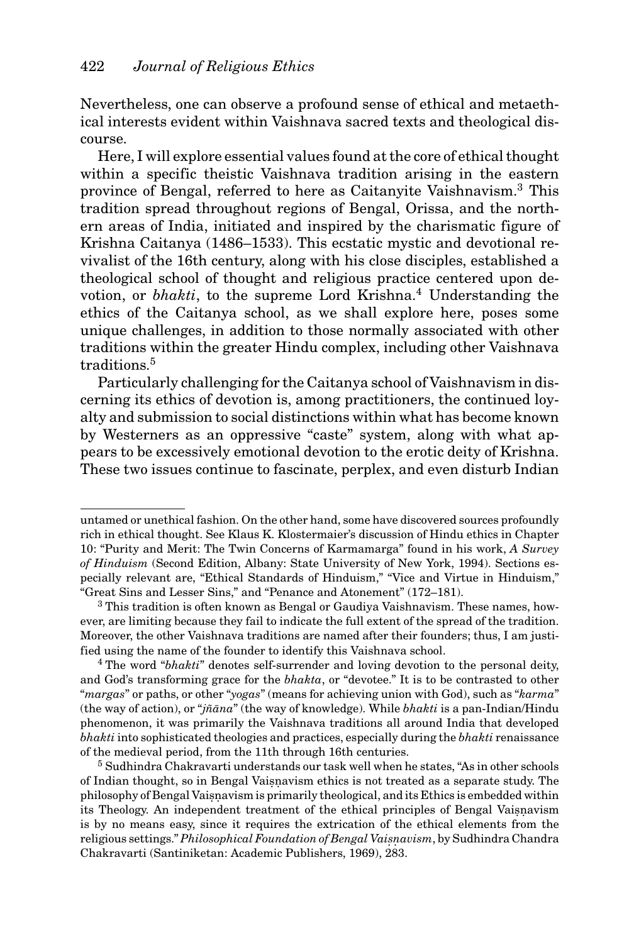Nevertheless, one can observe a profound sense of ethical and metaethical interests evident within Vaishnava sacred texts and theological discourse.

Here, I will explore essential values found at the core of ethical thought within a specific theistic Vaishnava tradition arising in the eastern province of Bengal, referred to here as Caitanyite Vaishnavism.<sup>3</sup> This tradition spread throughout regions of Bengal, Orissa, and the northern areas of India, initiated and inspired by the charismatic figure of Krishna Caitanya (1486–1533). This ecstatic mystic and devotional revivalist of the 16th century, along with his close disciples, established a theological school of thought and religious practice centered upon devotion, or *bhakti*, to the supreme Lord Krishna.4 Understanding the ethics of the Caitanya school, as we shall explore here, poses some unique challenges, in addition to those normally associated with other traditions within the greater Hindu complex, including other Vaishnava traditions.<sup>5</sup>

Particularly challenging for the Caitanya school of Vaishnavism in discerning its ethics of devotion is, among practitioners, the continued loyalty and submission to social distinctions within what has become known by Westerners as an oppressive "caste" system, along with what appears to be excessively emotional devotion to the erotic deity of Krishna. These two issues continue to fascinate, perplex, and even disturb Indian

untamed or unethical fashion. On the other hand, some have discovered sources profoundly rich in ethical thought. See Klaus K. Klostermaier's discussion of Hindu ethics in Chapter 10: "Purity and Merit: The Twin Concerns of Karmamarga" found in his work, *A Survey of Hinduism* (Second Edition, Albany: State University of New York, 1994). Sections especially relevant are, "Ethical Standards of Hinduism," "Vice and Virtue in Hinduism," "Great Sins and Lesser Sins," and "Penance and Atonement" (172–181).

<sup>3</sup> This tradition is often known as Bengal or Gaudiya Vaishnavism. These names, however, are limiting because they fail to indicate the full extent of the spread of the tradition. Moreover, the other Vaishnava traditions are named after their founders; thus, I am justified using the name of the founder to identify this Vaishnava school.

<sup>&</sup>lt;sup>4</sup> The word "*bhakti*" denotes self-surrender and loving devotion to the personal deity, and God's transforming grace for the *bhakta*, or "devotee." It is to be contrasted to other "*margas*" or paths, or other "*yogas*" (means for achieving union with God), such as "*karma*" (the way of action), or "*jñāna*" (the way of knowledge). While *bhakti* is a pan-Indian/Hindu phenomenon, it was primarily the Vaishnava traditions all around India that developed *bhakti* into sophisticated theologies and practices, especially during the *bhakti* renaissance of the medieval period, from the 11th through 16th centuries.

<sup>&</sup>lt;sup>5</sup> Sudhindra Chakravarti understands our task well when he states, "As in other schools" of Indian thought, so in Bengal Vaisnavism ethics is not treated as a separate study. The philosophy of Bengal Vaisnavism is primarily theological, and its Ethics is embedded within its Theology. An independent treatment of the ethical principles of Bengal Vaisnavism is by no means easy, since it requires the extrication of the ethical elements from the religious settings." *Philosophical Foundation of Bengal Vais.n. avism*, by Sudhindra Chandra Chakravarti (Santiniketan: Academic Publishers, 1969), 283.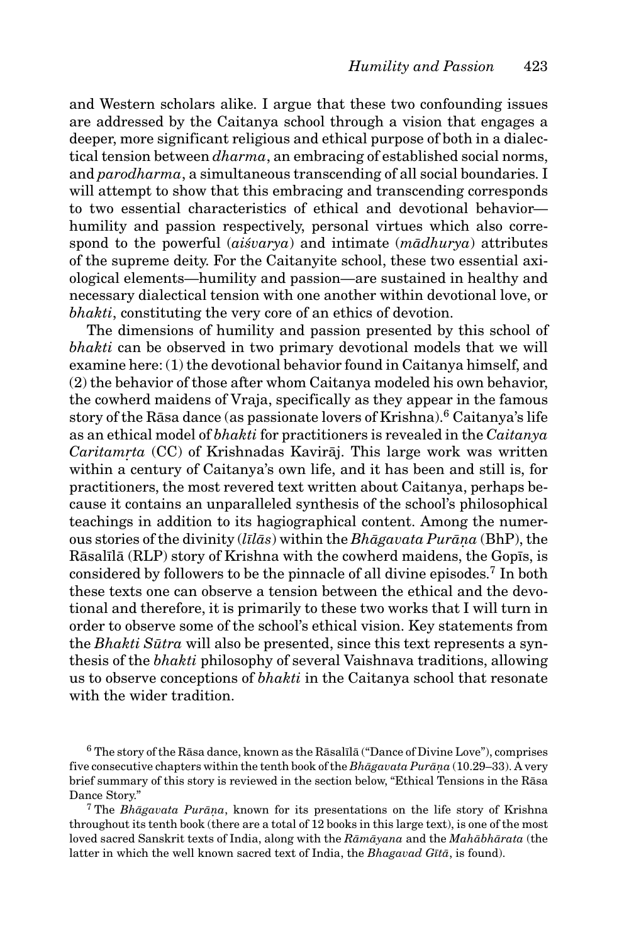and Western scholars alike. I argue that these two confounding issues are addressed by the Caitanya school through a vision that engages a deeper, more significant religious and ethical purpose of both in a dialectical tension between *dharma*, an embracing of established social norms, and *parodharma*, a simultaneous transcending of all social boundaries. I will attempt to show that this embracing and transcending corresponds to two essential characteristics of ethical and devotional behavior humility and passion respectively, personal virtues which also correspond to the powerful  $(aisvarya)$  and intimate  $(m\bar{a}dhu\nu a)$  attributes of the supreme deity. For the Caitanyite school, these two essential axiological elements—humility and passion—are sustained in healthy and necessary dialectical tension with one another within devotional love, or *bhakti*, constituting the very core of an ethics of devotion.

The dimensions of humility and passion presented by this school of *bhakti* can be observed in two primary devotional models that we will examine here: (1) the devotional behavior found in Caitanya himself, and (2) the behavior of those after whom Caitanya modeled his own behavior, the cowherd maidens of Vraja, specifically as they appear in the famous story of the Rāsa dance (as passionate lovers of Krishna).<sup>6</sup> Caitanya's life as an ethical model of *bhakti* for practitioners is revealed in the *Caitanya Caritamrta* (CC) of Krishnadas Kavirāj. This large work was written within a century of Caitanya's own life, and it has been and still is, for practitioners, the most revered text written about Caitanya, perhaps because it contains an unparalleled synthesis of the school's philosophical teachings in addition to its hagiographical content. Among the numerous stories of the divinity (*l* $\bar{t}$ *las*) within the *Bhagavata Purana* (BhP), the Rāsalīlā (RLP) story of Krishna with the cowherd maidens, the Gopīs, is considered by followers to be the pinnacle of all divine episodes.<sup>7</sup> In both these texts one can observe a tension between the ethical and the devotional and therefore, it is primarily to these two works that I will turn in order to observe some of the school's ethical vision. Key statements from the *Bhakti Sūtra* will also be presented, since this text represents a synthesis of the *bhakti* philosophy of several Vaishnava traditions, allowing us to observe conceptions of *bhakti* in the Caitanya school that resonate with the wider tradition.

 $6$  The story of the Rasa dance, known as the Rasalila ("Dance of Divine Love"), comprises five consecutive chapters within the tenth book of the *Bhagavata Purana* (10.29–33). A very brief summary of this story is reviewed in the section below, "Ethical Tensions in the Rasa ¯ Dance Story."

<sup>7</sup> The *Bhāgavata Purāṇa*, known for its presentations on the life story of Krishna throughout its tenth book (there are a total of 12 books in this large text), is one of the most loved sacred Sanskrit texts of India, along with the  $R\bar{a}m\bar{a}yana$  and the *Mahabharata* (the latter in which the well known sacred text of India, the *Bhagavad Gītā*, is found).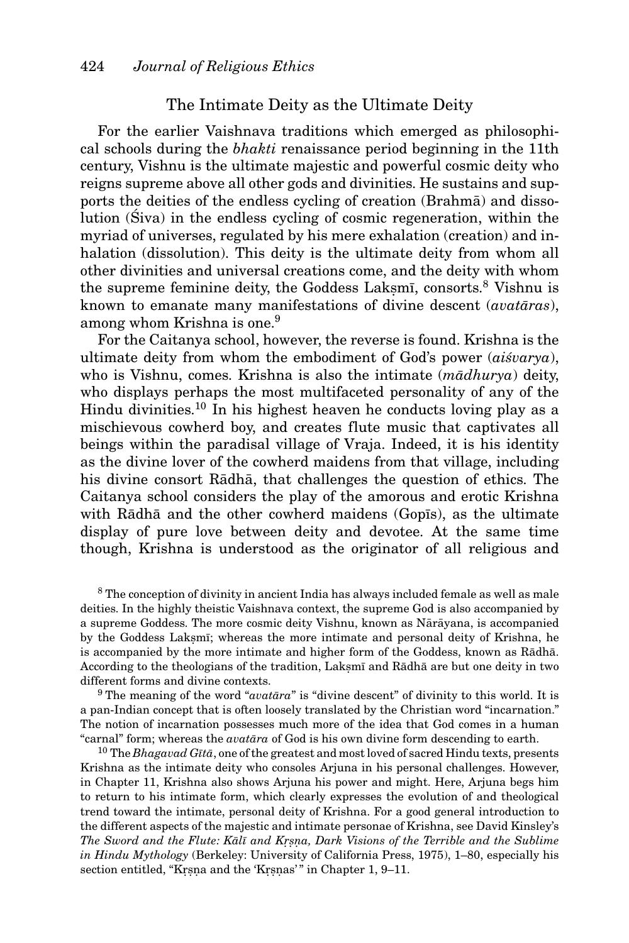#### The Intimate Deity as the Ultimate Deity

For the earlier Vaishnava traditions which emerged as philosophical schools during the *bhakti* renaissance period beginning in the 11th century, Vishnu is the ultimate majestic and powerful cosmic deity who reigns supreme above all other gods and divinities. He sustains and supports the deities of the endless cycling of creation (Brahma) and dissolution (Siva) in the endless cycling of cosmic regeneration, within the ´ myriad of universes, regulated by his mere exhalation (creation) and inhalation (dissolution). This deity is the ultimate deity from whom all other divinities and universal creations come, and the deity with whom the supreme feminine deity, the Goddess Laksm $\bar{i}$ , consorts.<sup>8</sup> Vishnu is known to emanate many manifestations of divine descent (*avataras*), among whom Krishna is one.<sup>9</sup>

For the Caitanya school, however, the reverse is found. Krishna is the ultimate deity from whom the embodiment of God's power (*aisvarya ´* ), who is Vishnu, comes. Krishna is also the intimate  $(m\bar{a}dhu\gamma a)$  deity, who displays perhaps the most multifaceted personality of any of the Hindu divinities.<sup>10</sup> In his highest heaven he conducts loving play as a mischievous cowherd boy, and creates flute music that captivates all beings within the paradisal village of Vraja. Indeed, it is his identity as the divine lover of the cowherd maidens from that village, including his divine consort Radha, that challenges the question of ethics. The Caitanya school considers the play of the amorous and erotic Krishna with Rādhā and the other cowherd maidens (Gopis), as the ultimate display of pure love between deity and devotee. At the same time though, Krishna is understood as the originator of all religious and

<sup>8</sup> The conception of divinity in ancient India has always included female as well as male deities. In the highly theistic Vaishnava context, the supreme God is also accompanied by a supreme Goddess. The more cosmic deity Vishnu, known as Nārāyana, is accompanied by the Goddess Laksmi; whereas the more intimate and personal deity of Krishna, he is accompanied by the more intimate and higher form of the Goddess, known as Radha. According to the theologians of the tradition, Laksmi and Radha are but one deity in two different forms and divine contexts.

<sup>9</sup> The meaning of the word " $avatāra$ " is "divine descent" of divinity to this world. It is a pan-Indian concept that is often loosely translated by the Christian word "incarnation." The notion of incarnation possesses much more of the idea that God comes in a human "carnal" form; whereas the *avatāra* of God is his own divine form descending to earth.

<sup>10</sup> The *Bhagavad Gītā*, one of the greatest and most loved of sacred Hindu texts, presents Krishna as the intimate deity who consoles Arjuna in his personal challenges. However, in Chapter 11, Krishna also shows Arjuna his power and might. Here, Arjuna begs him to return to his intimate form, which clearly expresses the evolution of and theological trend toward the intimate, personal deity of Krishna. For a good general introduction to the different aspects of the majestic and intimate personae of Krishna, see David Kinsley's *The Sword and the Flute: Kal¯ ¯ı and Kr. s.n. a, Dark Visions of the Terrible and the Sublime in Hindu Mythology* (Berkeley: University of California Press, 1975), 1–80, especially his section entitled, "Krsna and the 'Krsnas'" in Chapter 1, 9–11.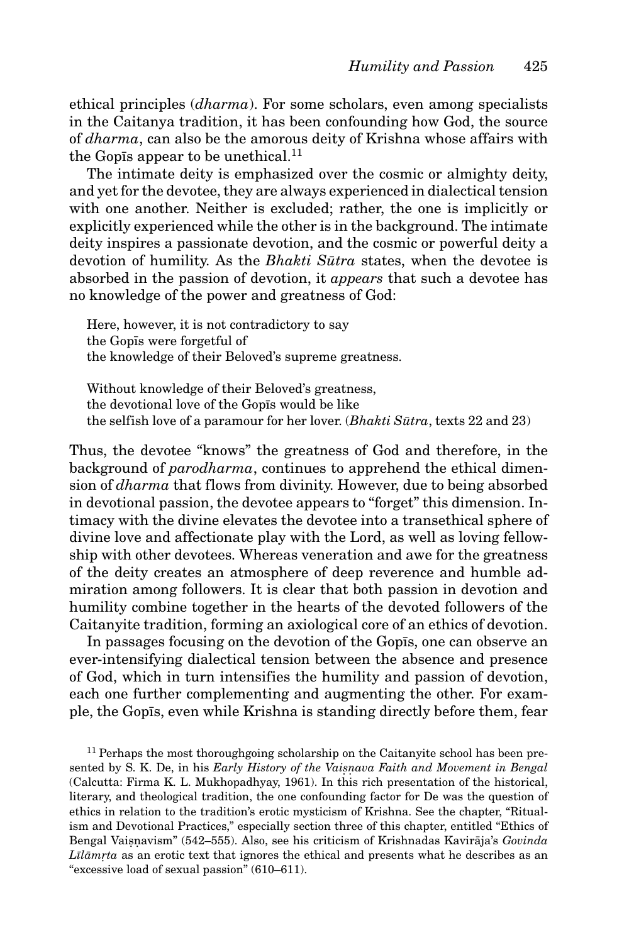ethical principles (*dharma*). For some scholars, even among specialists in the Caitanya tradition, it has been confounding how God, the source of *dharma*, can also be the amorous deity of Krishna whose affairs with the Gopis appear to be unethical.<sup>11</sup>

The intimate deity is emphasized over the cosmic or almighty deity, and yet for the devotee, they are always experienced in dialectical tension with one another. Neither is excluded; rather, the one is implicitly or explicitly experienced while the other is in the background. The intimate deity inspires a passionate devotion, and the cosmic or powerful deity a devotion of humility. As the *Bhakti Sūtra* states, when the devotee is absorbed in the passion of devotion, it *appears* that such a devotee has no knowledge of the power and greatness of God:

Here, however, it is not contradictory to say the Gopis were forgetful of the knowledge of their Beloved's supreme greatness.

Without knowledge of their Beloved's greatness, the devotional love of the Gopis would be like the selfish love of a paramour for her lover. (*Bhakti Sūtra*, texts 22 and 23)

Thus, the devotee "knows" the greatness of God and therefore, in the background of *parodharma*, continues to apprehend the ethical dimension of *dharma* that flows from divinity. However, due to being absorbed in devotional passion, the devotee appears to "forget" this dimension. Intimacy with the divine elevates the devotee into a transethical sphere of divine love and affectionate play with the Lord, as well as loving fellowship with other devotees. Whereas veneration and awe for the greatness of the deity creates an atmosphere of deep reverence and humble admiration among followers. It is clear that both passion in devotion and humility combine together in the hearts of the devoted followers of the Caitanyite tradition, forming an axiological core of an ethics of devotion.

In passages focusing on the devotion of the Gopis, one can observe an ever-intensifying dialectical tension between the absence and presence of God, which in turn intensifies the humility and passion of devotion, each one further complementing and augmenting the other. For example, the Gopīs, even while Krishna is standing directly before them, fear

<sup>11</sup> Perhaps the most thoroughgoing scholarship on the Caitanyite school has been presented by S. K. De, in his *Early History of the Vaisnava Faith and Movement in Bengal* (Calcutta: Firma K. L. Mukhopadhyay, 1961). In this rich presentation of the historical, literary, and theological tradition, the one confounding factor for De was the question of ethics in relation to the tradition's erotic mysticism of Krishna. See the chapter, "Ritualism and Devotional Practices," especially section three of this chapter, entitled "Ethics of Bengal Vaisnavism" (542–555). Also, see his criticism of Krishnadas Kavirāja's *Govinda Lilamrta* as an erotic text that ignores the ethical and presents what he describes as an "excessive load of sexual passion" (610–611).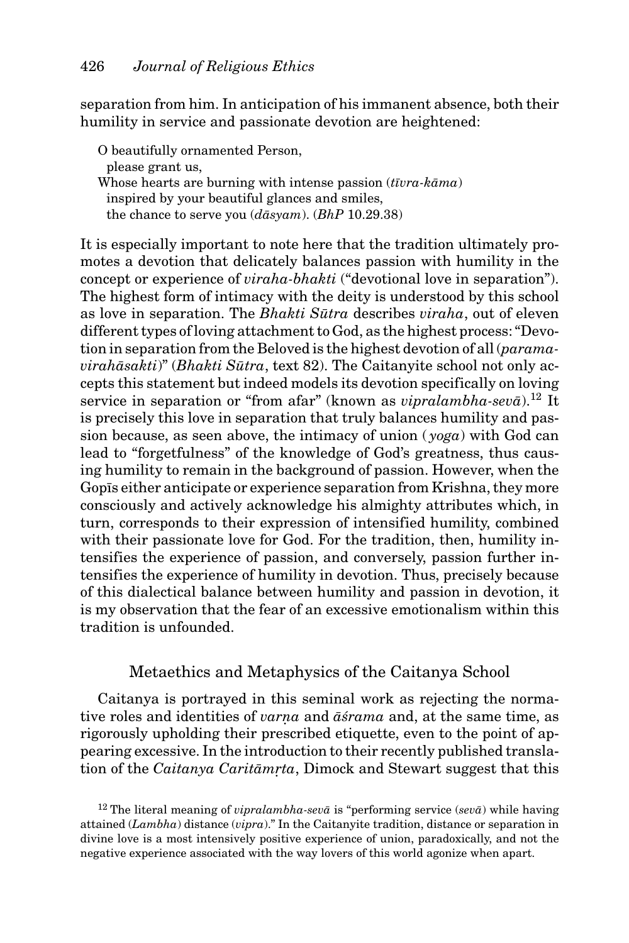separation from him. In anticipation of his immanent absence, both their humility in service and passionate devotion are heightened:

O beautifully ornamented Person, please grant us, Whose hearts are burning with intense passion (*tīvra-kāma*) inspired by your beautiful glances and smiles, the chance to serve you  $(d\bar{a}sym)$ .  $(BhP 10.29.38)$ 

It is especially important to note here that the tradition ultimately promotes a devotion that delicately balances passion with humility in the concept or experience of *viraha-bhakti* ("devotional love in separation"). The highest form of intimacy with the deity is understood by this school as love in separation. The *Bhakti Sūtra* describes *viraha*, out of eleven different types of loving attachment to God, as the highest process:"Devotion in separation from the Beloved is the highest devotion of all (*paramavirahāsakti*)" (*Bhakti Sūtra*, text 82). The Caitanyite school not only accepts this statement but indeed models its devotion specifically on loving service in separation or "from afar" (known as *vipralambha-sevā*).<sup>12</sup> It is precisely this love in separation that truly balances humility and passion because, as seen above, the intimacy of union ( *yoga*) with God can lead to "forgetfulness" of the knowledge of God's greatness, thus causing humility to remain in the background of passion. However, when the Gopis either anticipate or experience separation from Krishna, they more consciously and actively acknowledge his almighty attributes which, in turn, corresponds to their expression of intensified humility, combined with their passionate love for God. For the tradition, then, humility intensifies the experience of passion, and conversely, passion further intensifies the experience of humility in devotion. Thus, precisely because of this dialectical balance between humility and passion in devotion, it is my observation that the fear of an excessive emotionalism within this tradition is unfounded.

## Metaethics and Metaphysics of the Caitanya School

Caitanya is portrayed in this seminal work as rejecting the normative roles and identities of *varna* and  $\bar{a}$ *srama* and, at the same time, as rigorously upholding their prescribed etiquette, even to the point of appearing excessive. In the introduction to their recently published translation of the *Caitanya Caritamrta*, Dimock and Stewart suggest that this

<sup>&</sup>lt;sup>12</sup> The literal meaning of *vipralambha-seva* is "performing service (*seva*<sup>†</sup>) while having attained (*Lambha*) distance (*vipra*)." In the Caitanyite tradition, distance or separation in divine love is a most intensively positive experience of union, paradoxically, and not the negative experience associated with the way lovers of this world agonize when apart.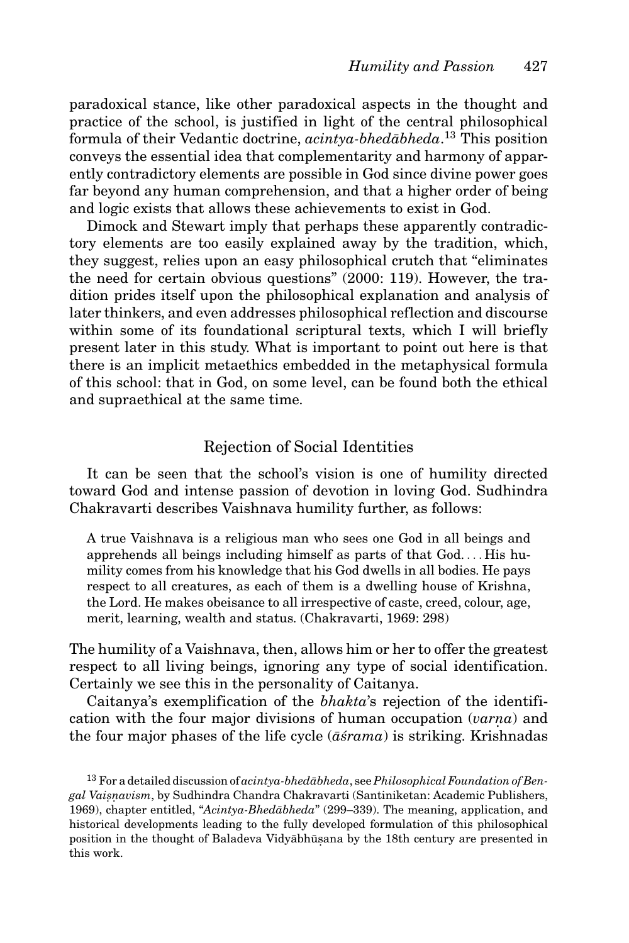paradoxical stance, like other paradoxical aspects in the thought and practice of the school, is justified in light of the central philosophical formula of their Vedantic doctrine, *acintya-bhedābheda*.<sup>13</sup> This position conveys the essential idea that complementarity and harmony of apparently contradictory elements are possible in God since divine power goes far beyond any human comprehension, and that a higher order of being and logic exists that allows these achievements to exist in God.

Dimock and Stewart imply that perhaps these apparently contradictory elements are too easily explained away by the tradition, which, they suggest, relies upon an easy philosophical crutch that "eliminates the need for certain obvious questions" (2000: 119). However, the tradition prides itself upon the philosophical explanation and analysis of later thinkers, and even addresses philosophical reflection and discourse within some of its foundational scriptural texts, which I will briefly present later in this study. What is important to point out here is that there is an implicit metaethics embedded in the metaphysical formula of this school: that in God, on some level, can be found both the ethical and supraethical at the same time.

## Rejection of Social Identities

It can be seen that the school's vision is one of humility directed toward God and intense passion of devotion in loving God. Sudhindra Chakravarti describes Vaishnava humility further, as follows:

A true Vaishnava is a religious man who sees one God in all beings and apprehends all beings including himself as parts of that God. ... His humility comes from his knowledge that his God dwells in all bodies. He pays respect to all creatures, as each of them is a dwelling house of Krishna, the Lord. He makes obeisance to all irrespective of caste, creed, colour, age, merit, learning, wealth and status. (Chakravarti, 1969: 298)

The humility of a Vaishnava, then, allows him or her to offer the greatest respect to all living beings, ignoring any type of social identification. Certainly we see this in the personality of Caitanya.

Caitanya's exemplification of the *bhakta*'s rejection of the identification with the four major divisions of human occupation (*varna*) and the four major phases of the life cycle ( $\bar{a}$ *śrama*) is striking. Krishnadas

<sup>13</sup> For a detailed discussion of *acintya-bhedabheda*, see *Philosophical Foundation of Bengal Vais.n. avism*, by Sudhindra Chandra Chakravarti (Santiniketan: Academic Publishers, 1969), chapter entitled, "*Acintya-Bhedābheda*" (299–339). The meaning, application, and historical developments leading to the fully developed formulation of this philosophical position in the thought of Baladeva Vidyabhusana by the 18th century are presented in this work.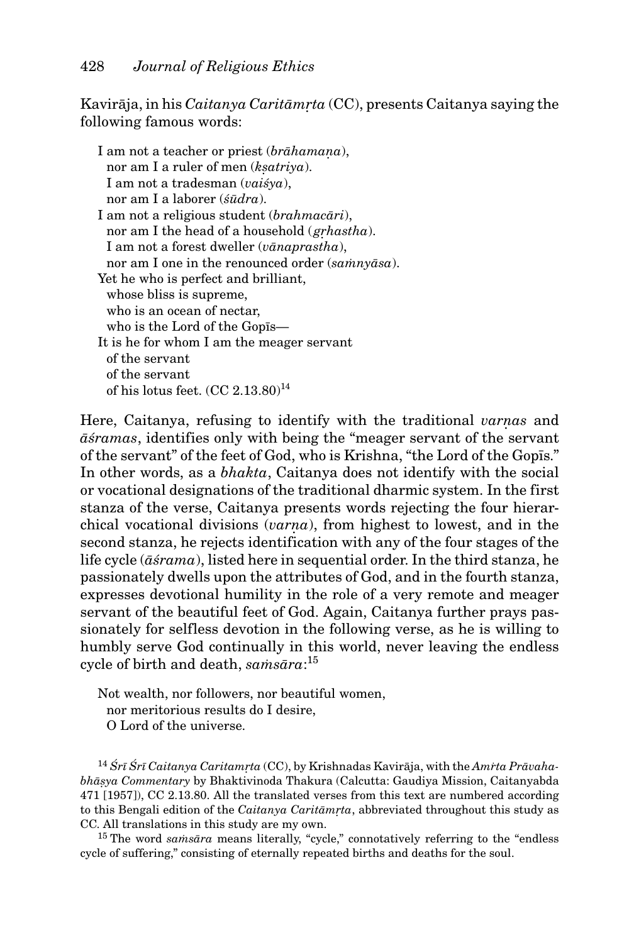Kavirāja, in his *Caitanya Caritāmrta (CC)*, presents Caitanya saying the following famous words:

| I am not a teacher or priest ( <i>brāhamana</i> ),    |  |
|-------------------------------------------------------|--|
| nor am I a ruler of men (ksatriya).                   |  |
| I am not a tradesman $(vaišya)$ ,                     |  |
| nor am I a laborer ( <i>śūdra</i> ).                  |  |
| I am not a religious student ( <i>brahmacari</i> ),   |  |
| nor am I the head of a household ( <i>grhastha</i> ). |  |
| I am not a forest dweller (vānaprastha),              |  |
| nor am I one in the renounced order (samnyasa).       |  |
| Yet he who is perfect and brilliant,                  |  |
| whose bliss is supreme,                               |  |
| who is an ocean of nectar,                            |  |
| who is the Lord of the Gopis—                         |  |
| It is he for whom I am the meager servant             |  |
| of the servant                                        |  |
| of the servant                                        |  |
| of his lotus feet. $(CC 2.13.80)^{14}$                |  |
|                                                       |  |

Here, Caitanya, refusing to identify with the traditional *varnas* and *a¯ sramas ´* , identifies only with being the "meager servant of the servant of the servant" of the feet of God, who is Krishna, "the Lord of the Gopis." In other words, as a *bhakta*, Caitanya does not identify with the social or vocational designations of the traditional dharmic system. In the first stanza of the verse, Caitanya presents words rejecting the four hierarchical vocational divisions (*varna*), from highest to lowest, and in the second stanza, he rejects identification with any of the four stages of the life cycle  $(\bar{a} \pm \bar{a})$ , listed here in sequential order. In the third stanza, he passionately dwells upon the attributes of God, and in the fourth stanza, expresses devotional humility in the role of a very remote and meager servant of the beautiful feet of God. Again, Caitanya further prays passionately for selfless devotion in the following verse, as he is willing to humbly serve God continually in this world, never leaving the endless  $\alpha$  cycle of birth and death,  $sams\bar{a}ra: ^{15}$ 

Not wealth, nor followers, nor beautiful women, nor meritorious results do I desire, O Lord of the universe.

 $^{14}$  *Śrī Śrī Caitanya Caritamrta* (CC), by Krishnadas Kavirāja, with the Amrta Prāvaha*bhas¯. ya Commentary* by Bhaktivinoda Thakura (Calcutta: Gaudiya Mission, Caitanyabda 471 [1957]), CC 2.13.80. All the translated verses from this text are numbered according to this Bengali edition of the *Caitanya Caritamrta*, abbreviated throughout this study as CC. All translations in this study are my own.

<sup>15</sup> The word *samsāra* means literally, "cycle," connotatively referring to the "endless" cycle of suffering," consisting of eternally repeated births and deaths for the soul.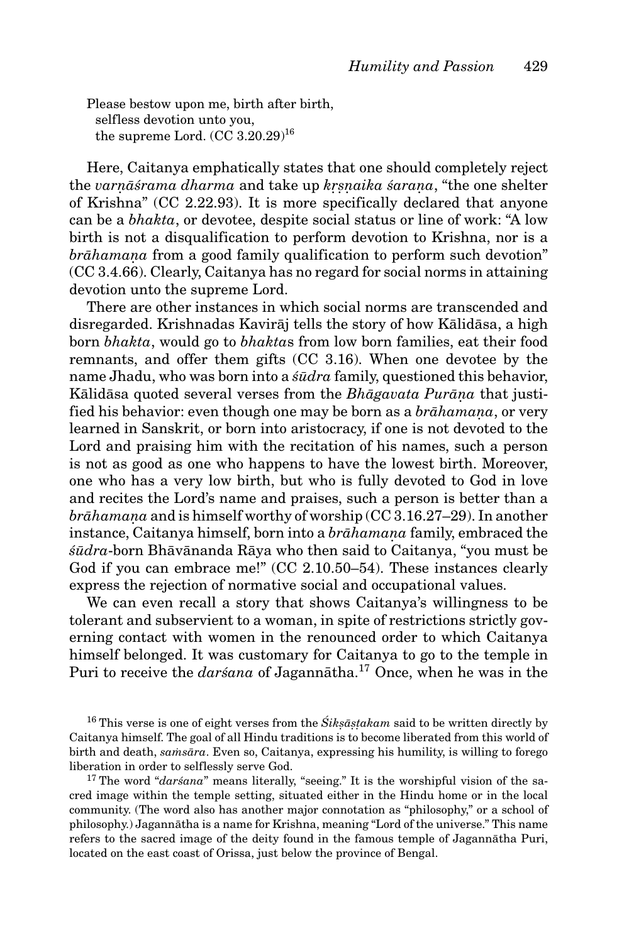Please bestow upon me, birth after birth, selfless devotion unto you, the supreme Lord.  $(CC 3.20.29)^{16}$ 

Here, Caitanya emphatically states that one should completely reject  $\frac{1}{2}$  the *varnāsrama dharma* and take up *krsnaika sarana*, "the one shelter of Krishna" (CC 2.22.93). It is more specifically declared that anyone can be a *bhakta*, or devotee, despite social status or line of work: "A low birth is not a disqualification to perform devotion to Krishna, nor is a *brāhamana* from a good family qualification to perform such devotion" (CC 3.4.66). Clearly, Caitanya has no regard for social norms in attaining devotion unto the supreme Lord.

There are other instances in which social norms are transcended and disregarded. Krishnadas Kavirāj tells the story of how Kālidāsa, a high born *bhakta*, would go to *bhakta*s from low born families, eat their food remnants, and offer them gifts (CC 3.16). When one devotee by the name Jhadu, who was born into a *sudra* family, questioned this behavior, Kalidasa quoted several verses from the *Bhagavata Purana* that justified his behavior: even though one may be born as a *brāhamana*, or very learned in Sanskrit, or born into aristocracy, if one is not devoted to the Lord and praising him with the recitation of his names, such a person is not as good as one who happens to have the lowest birth. Moreover, one who has a very low birth, but who is fully devoted to God in love and recites the Lord's name and praises, such a person is better than a *brāhamana* and is himself worthy of worship (CC 3.16.27–29). In another instance, Caitanya himself, born into a *brāhamana* family, embraced the  $sūdra$ -born Bhāvānanda Rāya who then said to Caitanya, "you must be God if you can embrace me!" (CC 2.10.50–54). These instances clearly express the rejection of normative social and occupational values.

We can even recall a story that shows Caitanya's willingness to be tolerant and subservient to a woman, in spite of restrictions strictly governing contact with women in the renounced order to which Caitanya himself belonged. It was customary for Caitanya to go to the temple in Puri to receive the *darsana* of Jagannatha.<sup>17</sup> Once, when he was in the

<sup>16</sup> This verse is one of eight verses from the *Siksāstakam* said to be written directly by Caitanya himself. The goal of all Hindu traditions is to become liberated from this world of birth and death, *samsāra*. Even so, Caitanya, expressing his humility, is willing to forego liberation in order to selflessly serve God.

<sup>17</sup> The word "*darsana*" means literally, "seeing." It is the worshipful vision of the sacred image within the temple setting, situated either in the Hindu home or in the local community. (The word also has another major connotation as "philosophy," or a school of philosophy.) Jagannātha is a name for Krishna, meaning "Lord of the universe." This name refers to the sacred image of the deity found in the famous temple of Jagannatha Puri, located on the east coast of Orissa, just below the province of Bengal.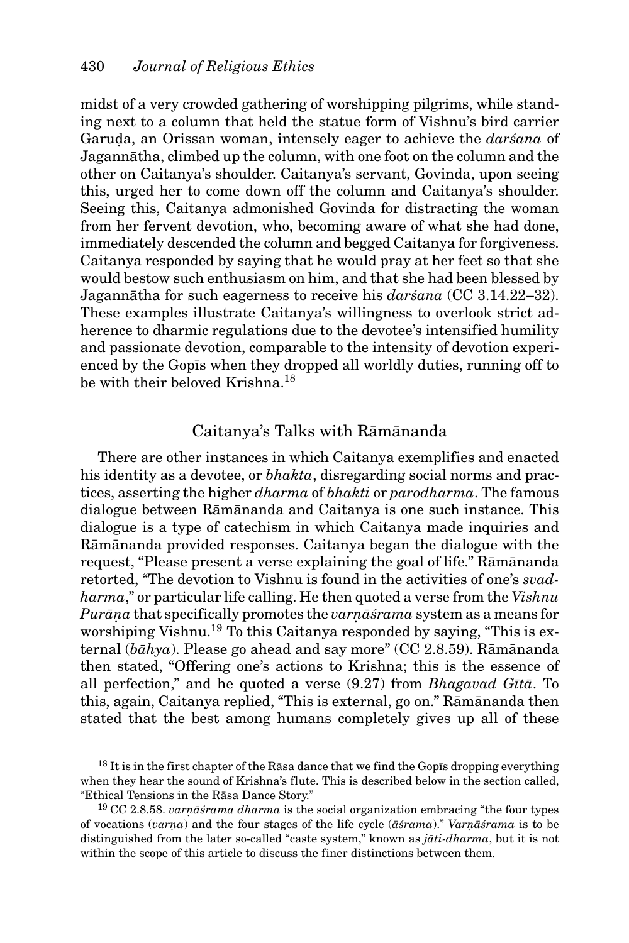midst of a very crowded gathering of worshipping pilgrims, while standing next to a column that held the statue form of Vishnu's bird carrier Garuda, an Orissan woman, intensely eager to achieve the *darsana* of Jagannatha, climbed up the column, with one foot on the column and the ¯ other on Caitanya's shoulder. Caitanya's servant, Govinda, upon seeing this, urged her to come down off the column and Caitanya's shoulder. Seeing this, Caitanya admonished Govinda for distracting the woman from her fervent devotion, who, becoming aware of what she had done, immediately descended the column and begged Caitanya for forgiveness. Caitanya responded by saying that he would pray at her feet so that she would bestow such enthusiasm on him, and that she had been blessed by Jagannatha for such eagerness to receive his ¯ *darsana ´* (CC 3.14.22–32). These examples illustrate Caitanya's willingness to overlook strict adherence to dharmic regulations due to the devotee's intensified humility and passionate devotion, comparable to the intensity of devotion experienced by the Gopīs when they dropped all worldly duties, running off to be with their beloved Krishna.<sup>18</sup>

## Caitanya's Talks with Rāmānanda

There are other instances in which Caitanya exemplifies and enacted his identity as a devotee, or *bhakta*, disregarding social norms and practices, asserting the higher *dharma* of *bhakti* or *parodharma*. The famous dialogue between Rāmānanda and Caitanya is one such instance. This dialogue is a type of catechism in which Caitanya made inquiries and Rāmānanda provided responses. Caitanya began the dialogue with the request, "Please present a verse explaining the goal of life." Ramananda retorted, "The devotion to Vishnu is found in the activities of one's *svadharma*," or particular life calling. He then quoted a verse from the *Vishnu Purāna* that specifically promotes the *varnāśrama* system as a means for worshiping Vishnu.<sup>19</sup> To this Caitanya responded by saying, "This is external  $(b\bar{a}hya)$ . Please go ahead and say more" (CC 2.8.59). Rāmānanda then stated, "Offering one's actions to Krishna; this is the essence of all perfection," and he quoted a verse (9.27) from *Bhagavad Gītā*. To this, again, Caitanya replied, "This is external, go on." Rāmānanda then stated that the best among humans completely gives up all of these

 $18$  It is in the first chapter of the Rasa dance that we find the Gop s dropping everything when they hear the sound of Krishna's flute. This is described below in the section called, "Ethical Tensions in the Rāsa Dance Story."

<sup>&</sup>lt;sup>19</sup> CC 2.8.58. *varnāśrama dharma* is the social organization embracing "the four types of vocations (*varna*) and the four stages of the life cycle ( $\bar{a} \bar{s}$ *rama*)." *Varnāśrama* is to be distinguished from the later so-called "caste system," known as *jati-dharma*, but it is not within the scope of this article to discuss the finer distinctions between them.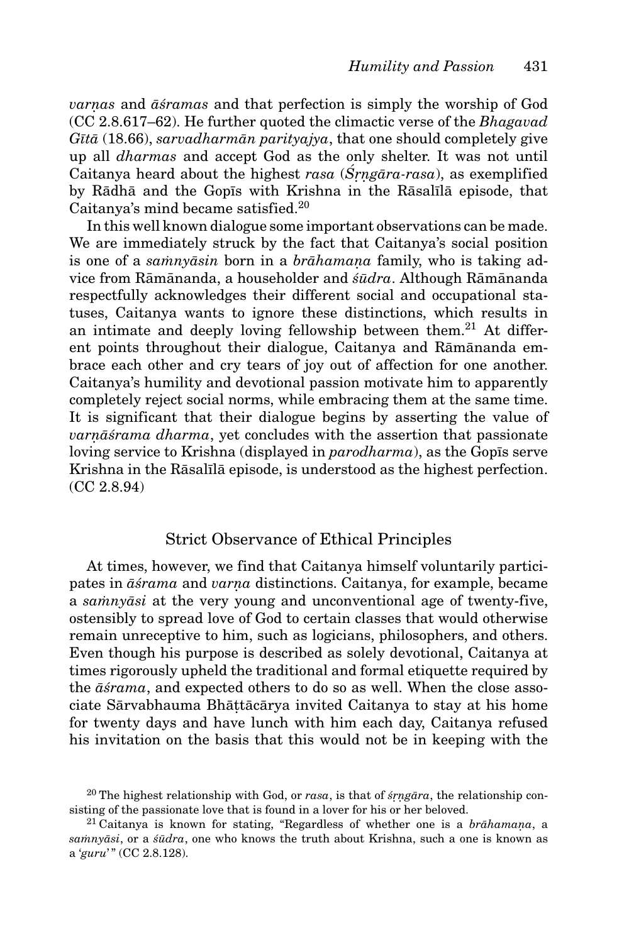*varnas* and  $\bar{a}$ *sramas* and that perfection is simply the worship of God (CC 2.8.617–62). He further quoted the climactic verse of the *Bhagavad G* $\bar{t}$ *a*<sup> $\bar{t}$ </sub> $\bar{d}$ <sup> $\bar{d}$ </sup> $\bar{d}$ *(18.66)*, *sarvadharmān parityajya*, that one should completely give</sup> up all *dharmas* and accept God as the only shelter. It was not until Caitanya heard about the highest *rasa* (*Śrngāra-rasa*), as exemplified by Rādhā and the Gopīs with Krishna in the Rāsalīlā episode, that Caitanya's mind became satisfied.20

In this well known dialogue some important observations can be made. We are immediately struck by the fact that Caitanya's social position *is one of a samnyasin born in a <i>brahamana family*, who is taking advice from Rāmānanda, a householder and  $\delta u$  *adra*. Although Rāmānanda respectfully acknowledges their different social and occupational statuses, Caitanya wants to ignore these distinctions, which results in an intimate and deeply loving fellowship between them.<sup>21</sup> At different points throughout their dialogue, Caitanya and Rāmānanda embrace each other and cry tears of joy out of affection for one another. Caitanya's humility and devotional passion motivate him to apparently completely reject social norms, while embracing them at the same time. It is significant that their dialogue begins by asserting the value of *varnāśrama dharma*, yet concludes with the assertion that passionate loving service to Krishna (displayed in *parodharma*), as the Gopis serve Krishna in the Rāsalīlā episode, is understood as the highest perfection. (CC 2.8.94)

## Strict Observance of Ethical Principles

At times, however, we find that Caitanya himself voluntarily participates in *a¯ srama ´* and *varn. a* distinctions. Caitanya, for example, became a *samnyasi* at the very young and unconventional age of twenty-five, ostensibly to spread love of God to certain classes that would otherwise remain unreceptive to him, such as logicians, philosophers, and others. Even though his purpose is described as solely devotional, Caitanya at times rigorously upheld the traditional and formal etiquette required by the  $\bar{a}$ *srama*, and expected others to do so as well. When the close associate Sārvabhauma Bhāttācārya invited Caitanya to stay at his home for twenty days and have lunch with him each day, Caitanya refused his invitation on the basis that this would not be in keeping with the

<sup>&</sup>lt;sup>20</sup> The highest relationship with God, or  $rasa$ , is that of  $s<sub>r</sub>ngāra$ , the relationship consisting of the passionate love that is found in a lover for his or her beloved.

<sup>&</sup>lt;sup>21</sup> Caitanya is known for stating, "Regardless of whether one is a *brāhamana*, a *samnyāsi*, or a *śūdra*, one who knows the truth about Krishna, such a one is known as a '*guru*' " (CC 2.8.128).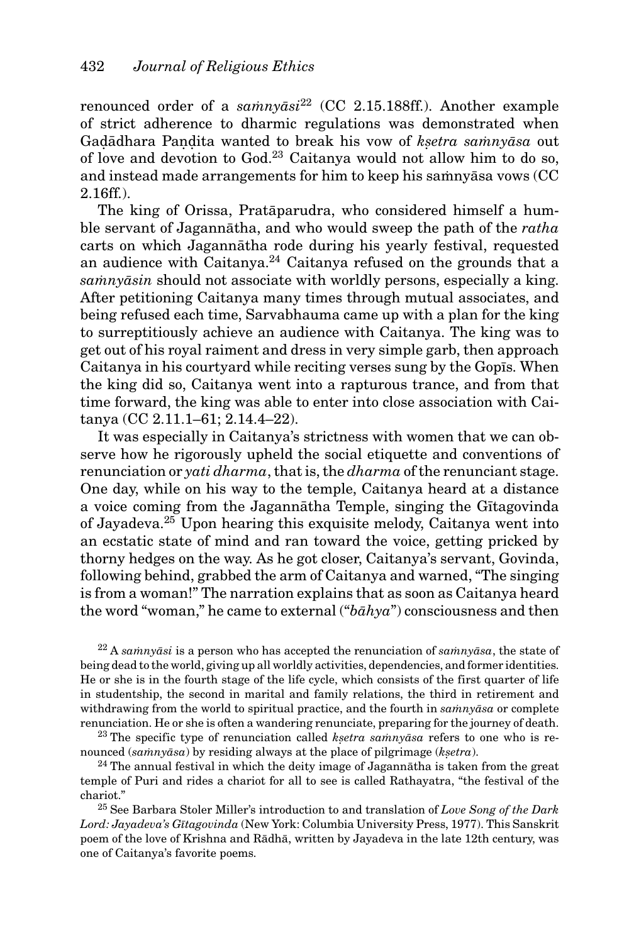renounced order of a  $\sin n\sqrt{a} s i^{22}$  (CC 2.15.188ff.). Another example of strict adherence to dharmic regulations was demonstrated when Gadādhara Pandita wanted to break his vow of *ksetra samnyāsa* out of love and devotion to God.23 Caitanya would not allow him to do so, and instead made arrangements for him to keep his samny as vows  $(CC$ 2.16ff.).

The king of Orissa, Prataparudra, who considered himself a humble servant of Jagannatha, and who would sweep the path of the *ratha* carts on which Jagannātha rode during his yearly festival, requested an audience with Caitanya.<sup>24</sup> Caitanya refused on the grounds that a *samnyāsin* should not associate with worldly persons, especially a king. After petitioning Caitanya many times through mutual associates, and being refused each time, Sarvabhauma came up with a plan for the king to surreptitiously achieve an audience with Caitanya. The king was to get out of his royal raiment and dress in very simple garb, then approach Caitanya in his courtyard while reciting verses sung by the Gopis. When the king did so, Caitanya went into a rapturous trance, and from that time forward, the king was able to enter into close association with Caitanya (CC 2.11.1–61; 2.14.4–22).

It was especially in Caitanya's strictness with women that we can observe how he rigorously upheld the social etiquette and conventions of renunciation or *yati dharma*, that is, the *dharma* of the renunciant stage. One day, while on his way to the temple, Caitanya heard at a distance a voice coming from the Jagannatha Temple, singing the Gitagovinda of Jayadeva.25 Upon hearing this exquisite melody, Caitanya went into an ecstatic state of mind and ran toward the voice, getting pricked by thorny hedges on the way. As he got closer, Caitanya's servant, Govinda, following behind, grabbed the arm of Caitanya and warned, "The singing is from a woman!" The narration explains that as soon as Caitanya heard the word "woman," he came to external (" $b\bar{a}hya$ ") consciousness and then

<sup>22</sup> A *samnyāsi* is a person who has accepted the renunciation of *samnyāsa*, the state of being dead to the world, giving up all worldly activities, dependencies, and former identities. He or she is in the fourth stage of the life cycle, which consists of the first quarter of life in studentship, the second in marital and family relations, the third in retirement and withdrawing from the world to spiritual practice, and the fourth in *samny āsa* or complete renunciation. He or she is often a wandering renunciate, preparing for the journey of death.

<sup>23</sup> The specific type of renunciation called *ksetra samny*  $\bar{a}$  *samny*  $\bar{a}$  **z** refers to one who is re-<br>nounced (*samny* $\bar{a}$ *sa*) by residing always at the place of pilgrimage (*ksetra*).

<sup>24</sup> The annual festival in which the deity image of Jagannatha is taken from the great temple of Puri and rides a chariot for all to see is called Rathayatra, "the festival of the chariot."

<sup>25</sup> See Barbara Stoler Miller's introduction to and translation of *Love Song of the Dark* Lord: Jayadeva's Gītagovinda (New York: Columbia University Press, 1977). This Sanskrit poem of the love of Krishna and Rādhā, written by Jayadeva in the late 12th century, was one of Caitanya's favorite poems.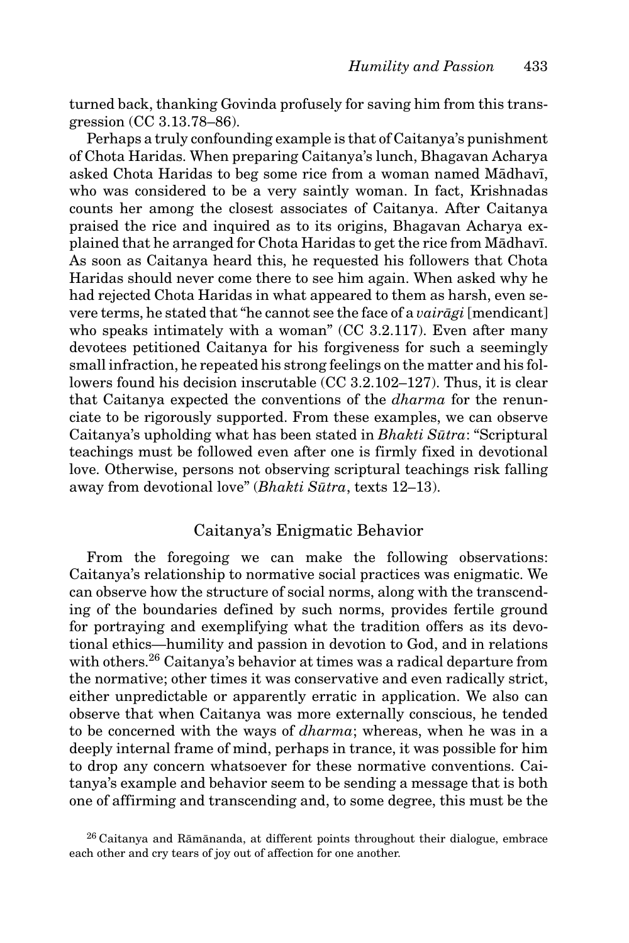turned back, thanking Govinda profusely for saving him from this transgression (CC 3.13.78–86).

Perhaps a truly confounding example is that of Caitanya's punishment of Chota Haridas. When preparing Caitanya's lunch, Bhagavan Acharya asked Chota Haridas to beg some rice from a woman named Mādhavī, who was considered to be a very saintly woman. In fact, Krishnadas counts her among the closest associates of Caitanya. After Caitanya praised the rice and inquired as to its origins, Bhagavan Acharya explained that he arranged for Chota Haridas to get the rice from Mādhavī. As soon as Caitanya heard this, he requested his followers that Chota Haridas should never come there to see him again. When asked why he had rejected Chota Haridas in what appeared to them as harsh, even severe terms, he stated that "he cannot see the face of a *vairagi* [mendicant] who speaks intimately with a woman" (CC 3.2.117). Even after many devotees petitioned Caitanya for his forgiveness for such a seemingly small infraction, he repeated his strong feelings on the matter and his followers found his decision inscrutable (CC 3.2.102–127). Thus, it is clear that Caitanya expected the conventions of the *dharma* for the renunciate to be rigorously supported. From these examples, we can observe Caitanya's upholding what has been stated in *Bhakti Sutra ¯* : "Scriptural teachings must be followed even after one is firmly fixed in devotional love. Otherwise, persons not observing scriptural teachings risk falling away from devotional love" (*Bhakti Sūtra*, texts 12–13).

## Caitanya's Enigmatic Behavior

From the foregoing we can make the following observations: Caitanya's relationship to normative social practices was enigmatic. We can observe how the structure of social norms, along with the transcending of the boundaries defined by such norms, provides fertile ground for portraying and exemplifying what the tradition offers as its devotional ethics—humility and passion in devotion to God, and in relations with others.<sup>26</sup> Caitanya's behavior at times was a radical departure from the normative; other times it was conservative and even radically strict, either unpredictable or apparently erratic in application. We also can observe that when Caitanya was more externally conscious, he tended to be concerned with the ways of *dharma*; whereas, when he was in a deeply internal frame of mind, perhaps in trance, it was possible for him to drop any concern whatsoever for these normative conventions. Caitanya's example and behavior seem to be sending a message that is both one of affirming and transcending and, to some degree, this must be the

 $^{26}$  Caitanya and Rāmānanda, at different points throughout their dialogue, embrace each other and cry tears of joy out of affection for one another.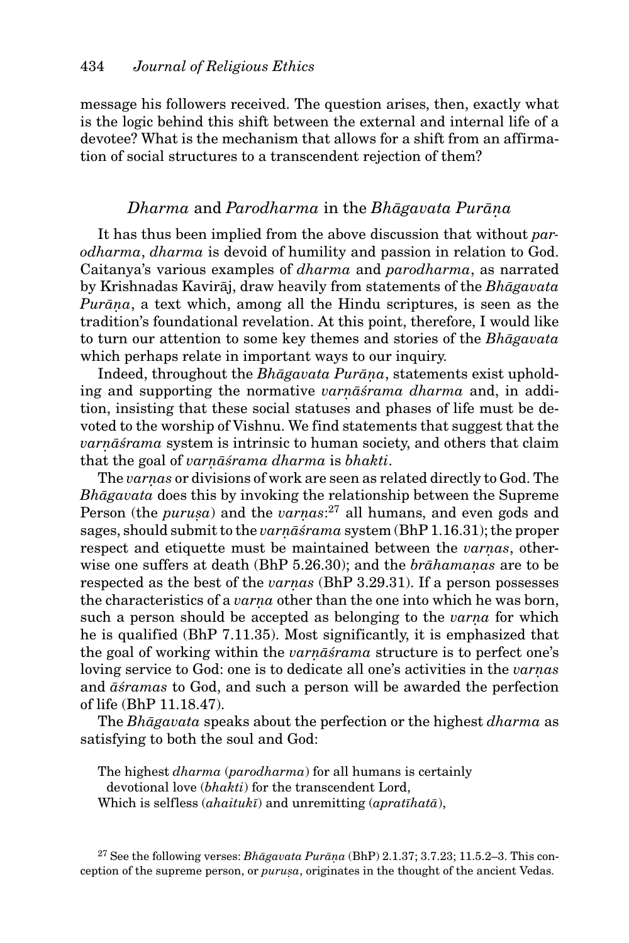message his followers received. The question arises, then, exactly what is the logic behind this shift between the external and internal life of a devotee? What is the mechanism that allows for a shift from an affirmation of social structures to a transcendent rejection of them?

#### *Dharma* and *Parodharma* in the *Bhāgavata Purāna*

It has thus been implied from the above discussion that without *parodharma*, *dharma* is devoid of humility and passion in relation to God. Caitanya's various examples of *dharma* and *parodharma*, as narrated by Krishnadas Kavirāj, draw heavily from statements of the *Bhāgavata Purāna*, a text which, among all the Hindu scriptures, is seen as the tradition's foundational revelation. At this point, therefore, I would like to turn our attention to some key themes and stories of the *Bhagavata* which perhaps relate in important ways to our inquiry.

Indeed, throughout the *Bhāgavata Purāna*, statements exist upholding and supporting the normative *varnas<sup>srama</sup> dharma* and, in addition, insisting that these social statuses and phases of life must be devoted to the worship of Vishnu. We find statements that suggest that the *varnāśrama* system is intrinsic to human society, and others that claim that the goal of *varnāśrama dharma* is *bhakti*.

The *varnas* or divisions of work are seen as related directly to God. The *Bhāgavata* does this by invoking the relationship between the Supreme Person (the *purusa*) and the *varnas*:<sup>27</sup> all humans, and even gods and sages, should submit to the *varnas <i>rama* system (BhP 1.16.31); the proper respect and etiquette must be maintained between the *varnas*, otherwise one suffers at death (BhP 5.26.30); and the *brahamanas* are to be respected as the best of the *varnas* (BhP 3.29.31). If a person possesses the characteristics of a *varna* other than the one into which he was born, such a person should be accepted as belonging to the *varna* for which he is qualified (BhP 7.11.35). Most significantly, it is emphasized that the goal of working within the *varnoma structure* is to perfect one's loving service to God: one is to dedicate all one's activities in the *varnas* and  $\overline{a}$ *sramas* to God, and such a person will be awarded the perfection of life (BhP 11.18.47).

The *Bhagavata* speaks about the perfection or the highest *dharma* as satisfying to both the soul and God:

The highest *dharma* (*parodharma*) for all humans is certainly devotional love (*bhakti*) for the transcendent Lord, Which is selfless (*ahaitukī*) and unremitting (*apratīhatā*),

<sup>27</sup> See the following verses: *Bhāgavata Purāna* (BhP) 2.1.37; 3.7.23; 11.5.2–3. This conception of the supreme person, or *purusa*, originates in the thought of the ancient Vedas.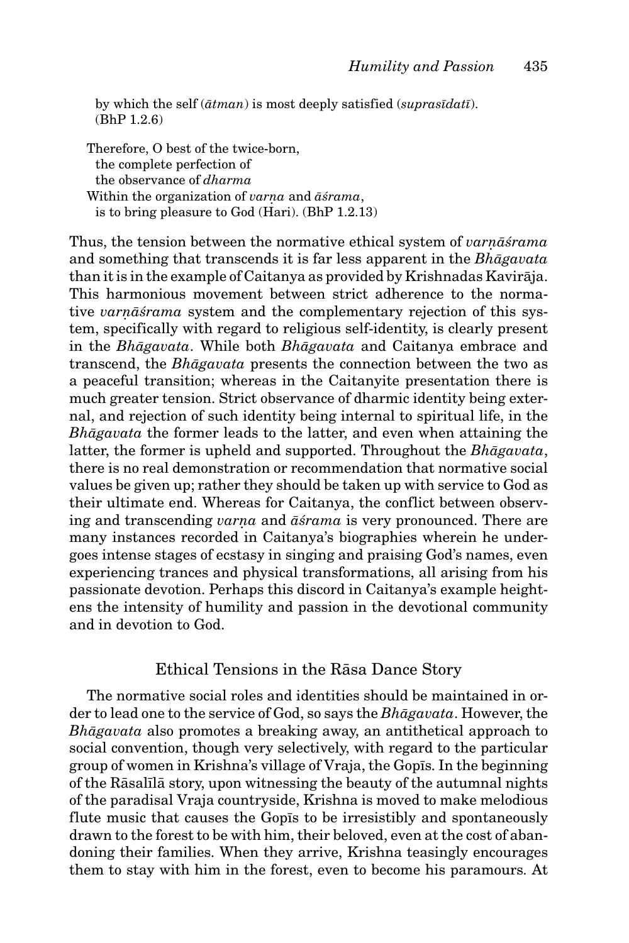by which the self  $(\bar{a}tman)$  is most deeply satisfied  $(supras\bar{a}dati)$ . (BhP 1.2.6)

Therefore, O best of the twice-born, the complete perfection of the observance of *dharma* Within the organization of *varna* and  $\bar{a}$ *srama*, is to bring pleasure to God (Hari). (BhP 1.2.13)

Thus, the tension between the normative ethical system of *varnasrama* and something that transcends it is far less apparent in the *Bhagavata* than it is in the example of Caitanya as provided by Krishnadas Kaviraja. ¯ This harmonious movement between strict adherence to the normative *varnāśrama* system and the complementary rejection of this system, specifically with regard to religious self-identity, is clearly present in the *Bhagavata*. While both *Bhagavata* and Caitanya embrace and transcend, the *Bhagavata* presents the connection between the two as a peaceful transition; whereas in the Caitanyite presentation there is much greater tension. Strict observance of dharmic identity being external, and rejection of such identity being internal to spiritual life, in the  $Bh\bar{a}gavata$  the former leads to the latter, and even when attaining the latter, the former is upheld and supported. Throughout the *Bhagavata*, there is no real demonstration or recommendation that normative social values be given up; rather they should be taken up with service to God as their ultimate end. Whereas for Caitanya, the conflict between observing and transcending *varna* and  $\bar{a}$ *srama* is very pronounced. There are many instances recorded in Caitanya's biographies wherein he undergoes intense stages of ecstasy in singing and praising God's names, even experiencing trances and physical transformations, all arising from his passionate devotion. Perhaps this discord in Caitanya's example heightens the intensity of humility and passion in the devotional community and in devotion to God.

## Ethical Tensions in the Rāsa Dance Story

The normative social roles and identities should be maintained in order to lead one to the service of God, so says the *Bhagavata*. However, the *Bhāgavata* also promotes a breaking away, an antithetical approach to social convention, though very selectively, with regard to the particular group of women in Krishna's village of Vraja, the Gopis. In the beginning of the Rāsalīlā story, upon witnessing the beauty of the autumnal nights of the paradisal Vraja countryside, Krishna is moved to make melodious flute music that causes the Gopis to be irresistibly and spontaneously drawn to the forest to be with him, their beloved, even at the cost of abandoning their families. When they arrive, Krishna teasingly encourages them to stay with him in the forest, even to become his paramours. At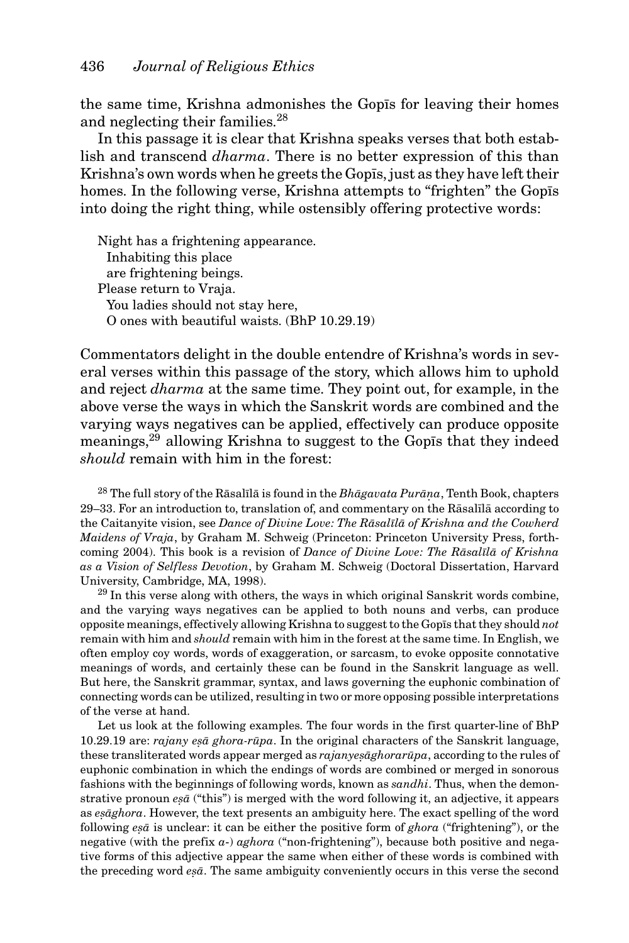the same time, Krishna admonishes the Gopts for leaving their homes and neglecting their families.<sup>28</sup>

In this passage it is clear that Krishna speaks verses that both establish and transcend *dharma*. There is no better expression of this than Krishna's own words when he greets the Gopis, just as they have left their homes. In the following verse, Krishna attempts to "frighten" the Gopīs into doing the right thing, while ostensibly offering protective words:

Night has a frightening appearance. Inhabiting this place are frightening beings. Please return to Vraja. You ladies should not stay here, O ones with beautiful waists. (BhP 10.29.19)

Commentators delight in the double entendre of Krishna's words in several verses within this passage of the story, which allows him to uphold and reject *dharma* at the same time. They point out, for example, in the above verse the ways in which the Sanskrit words are combined and the varying ways negatives can be applied, effectively can produce opposite meanings,<sup>29</sup> allowing Krishna to suggest to the Gopis that they indeed *should* remain with him in the forest:

<sup>28</sup> The full story of the Rāsalīlā is found in the *Bhāgavata Purāna*, Tenth Book, chapters  $29-33$ . For an introduction to, translation of, and commentary on the Rasalila according to the Caitanyite vision, see *Dance of Divine Love: The Rāsalīlā of Krishna and the Cowherd Maidens of Vraja*, by Graham M. Schweig (Princeton: Princeton University Press, forthcoming 2004). This book is a revision of *Dance of Divine Love: The Rāsalīlā of Krishna as a Vision of Selfless Devotion*, by Graham M. Schweig (Doctoral Dissertation, Harvard University, Cambridge, MA, 1998).

<sup>29</sup> In this verse along with others, the ways in which original Sanskrit words combine, and the varying ways negatives can be applied to both nouns and verbs, can produce opposite meanings, effectively allowing Krishna to suggest to the Gop¯ıs that they should *not* remain with him and *should* remain with him in the forest at the same time. In English, we often employ coy words, words of exaggeration, or sarcasm, to evoke opposite connotative meanings of words, and certainly these can be found in the Sanskrit language as well. But here, the Sanskrit grammar, syntax, and laws governing the euphonic combination of connecting words can be utilized, resulting in two or more opposing possible interpretations of the verse at hand.

Let us look at the following examples. The four words in the first quarter-line of BhP 10.29.19 are: *rajany esā ghora-rūpa*. In the original characters of the Sanskrit language, these transliterated words appear merged as *rajanyesaghorarūpa*, according to the rules of euphonic combination in which the endings of words are combined or merged in sonorous fashions with the beginnings of following words, known as *sandhi*. Thus, when the demonstrative pronoun *es* $\bar{a}$  ("this") is merged with the word following it, an adjective, it appears as *esäghora*. However, the text presents an ambiguity here. The exact spelling of the word following *es* $\bar{a}$  is unclear: it can be either the positive form of *ghora* ("frightening"), or the negative (with the prefix *a*-) *aghora* ("non-frightening"), because both positive and negative forms of this adjective appear the same when either of these words is combined with the preceding word *es* $\bar{a}$ . The same ambiguity conveniently occurs in this verse the second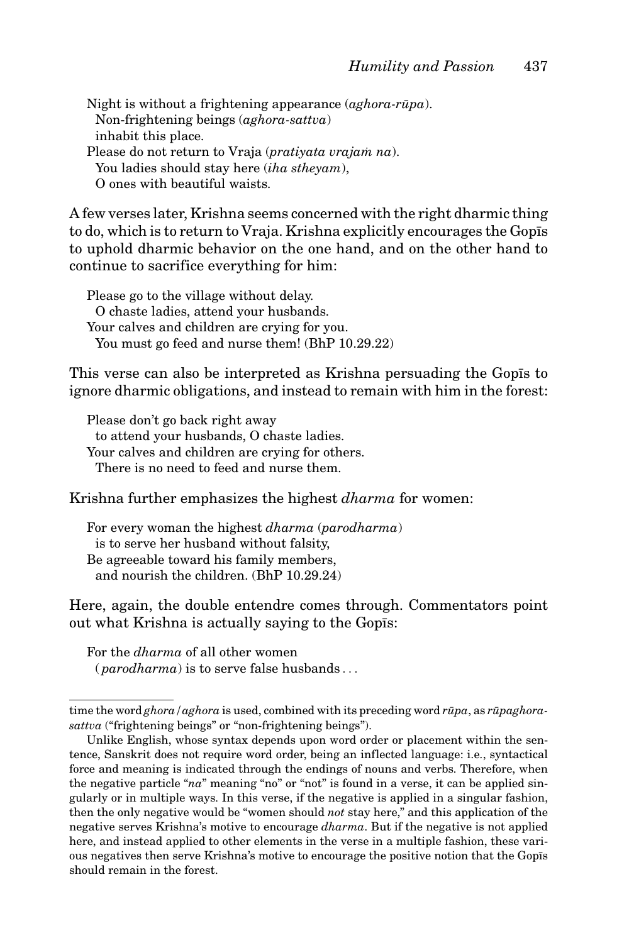Night is without a frightening appearance (*aghora-rūpa*). Non-frightening beings (*aghora-sattva*) inhabit this place. Please do not return to Vraja (*prativata vrajam na*). You ladies should stay here (*iha stheyam*), O ones with beautiful waists.

A few verses later, Krishna seems concerned with the right dharmic thing to do, which is to return to Vraja. Krishna explicitly encourages the Gopis to uphold dharmic behavior on the one hand, and on the other hand to continue to sacrifice everything for him:

Please go to the village without delay. O chaste ladies, attend your husbands. Your calves and children are crying for you. You must go feed and nurse them! (BhP 10.29.22)

This verse can also be interpreted as Krishna persuading the Gopis to ignore dharmic obligations, and instead to remain with him in the forest:

Please don't go back right away to attend your husbands, O chaste ladies. Your calves and children are crying for others. There is no need to feed and nurse them.

Krishna further emphasizes the highest *dharma* for women:

For every woman the highest *dharma* (*parodharma*) is to serve her husband without falsity, Be agreeable toward his family members, and nourish the children. (BhP 10.29.24)

Here, again, the double entendre comes through. Commentators point out what Krishna is actually saying to the Gopis:

For the *dharma* of all other women ( *parodharma*) is to serve false husbands ...

time the word *ghora* / *aghora* is used, combined with its preceding word *rupa*, as *rupaghorasattva* ("frightening beings" or "non-frightening beings").

Unlike English, whose syntax depends upon word order or placement within the sentence, Sanskrit does not require word order, being an inflected language: i.e., syntactical force and meaning is indicated through the endings of nouns and verbs. Therefore, when the negative particle "*na*" meaning "no" or "not" is found in a verse, it can be applied singularly or in multiple ways. In this verse, if the negative is applied in a singular fashion, then the only negative would be "women should *not* stay here," and this application of the negative serves Krishna's motive to encourage *dharma*. But if the negative is not applied here, and instead applied to other elements in the verse in a multiple fashion, these various negatives then serve Krishna's motive to encourage the positive notion that the Gopīs should remain in the forest.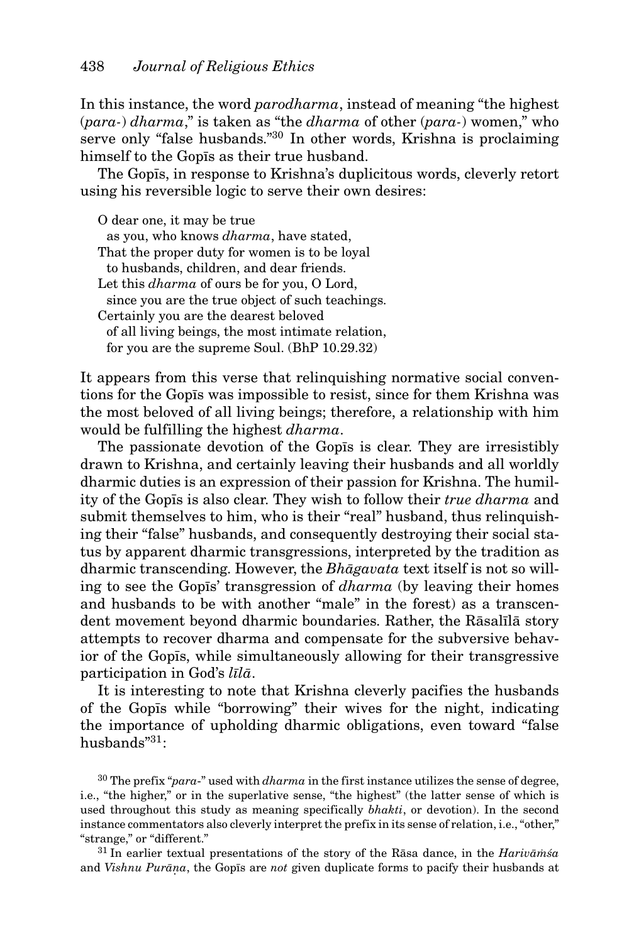In this instance, the word *parodharma*, instead of meaning "the highest (*para-*) *dharma*," is taken as "the *dharma* of other (*para-*) women," who serve only "false husbands."<sup>30</sup> In other words, Krishna is proclaiming himself to the Gopis as their true husband.

The Gopis, in response to Krishna's duplicitous words, cleverly retort using his reversible logic to serve their own desires:

O dear one, it may be true as you, who knows *dharma*, have stated, That the proper duty for women is to be loyal to husbands, children, and dear friends. Let this *dharma* of ours be for you, O Lord, since you are the true object of such teachings. Certainly you are the dearest beloved of all living beings, the most intimate relation, for you are the supreme Soul. (BhP 10.29.32)

It appears from this verse that relinquishing normative social conventions for the Gopts was impossible to resist, since for them Krishna was the most beloved of all living beings; therefore, a relationship with him would be fulfilling the highest *dharma*.

The passionate devotion of the Gopis is clear. They are irresistibly drawn to Krishna, and certainly leaving their husbands and all worldly dharmic duties is an expression of their passion for Krishna. The humility of the Gopis is also clear. They wish to follow their *true dharma* and submit themselves to him, who is their "real" husband, thus relinquishing their "false" husbands, and consequently destroying their social status by apparent dharmic transgressions, interpreted by the tradition as dharmic transcending. However, the *Bhagavata* text itself is not so willing to see the Gopis' transgression of *dharma* (by leaving their homes and husbands to be with another "male" in the forest) as a transcendent movement beyond dharmic boundaries. Rather, the Rāsalīlā story attempts to recover dharma and compensate for the subversive behavior of the Gopis, while simultaneously allowing for their transgressive participation in God's *līlā*.

It is interesting to note that Krishna cleverly pacifies the husbands of the Gopis while "borrowing" their wives for the night, indicating the importance of upholding dharmic obligations, even toward "false husbands"31:

<sup>30</sup> The prefix "*para*-" used with *dharma* in the first instance utilizes the sense of degree, i.e., "the higher," or in the superlative sense, "the highest" (the latter sense of which is used throughout this study as meaning specifically *bhakti*, or devotion). In the second instance commentators also cleverly interpret the prefix in its sense of relation, i.e., "other," "strange," or "different."

 $31$  In earlier textual presentations of the story of the Rasa dance, in the *Harivanisa* and *Vishnu Purāna*, the Gopīs are *not* given duplicate forms to pacify their husbands at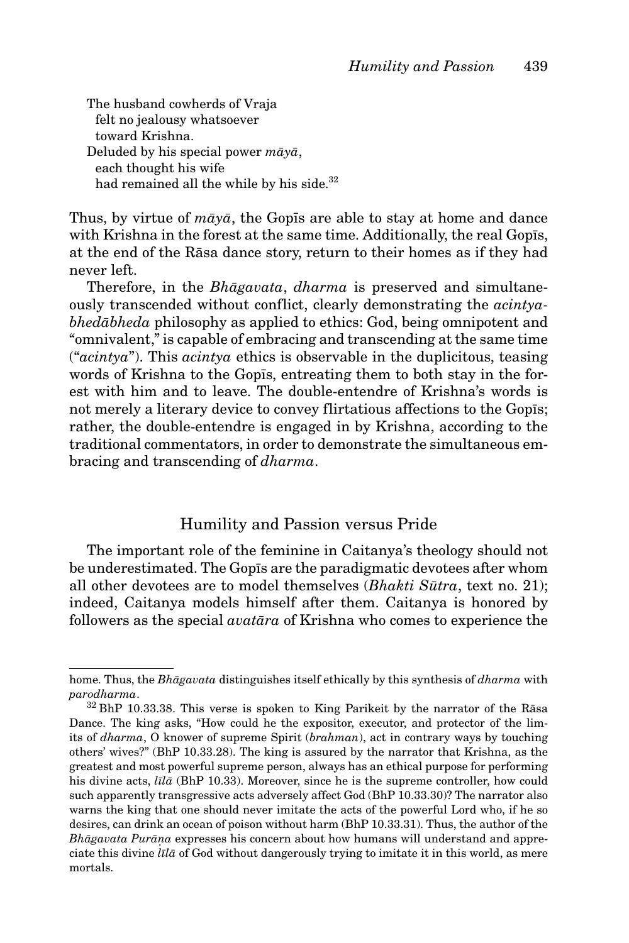The husband cowherds of Vraja felt no jealousy whatsoever toward Krishna. Deluded by his special power  $m\bar{a}\gamma\bar{a}$ , each thought his wife had remained all the while by his side.<sup>32</sup>

Thus, by virtue of  $m\bar{a}y\bar{a}$ , the Gopts are able to stay at home and dance with Krishna in the forest at the same time. Additionally, the real Gopis, at the end of the Rasa dance story, return to their homes as if they had ¯ never left.

Therefore, in the *Bhāgavata*, *dharma* is preserved and simultaneously transcended without conflict, clearly demonstrating the *acintyabhedabheda* philosophy as applied to ethics: God, being omnipotent and "omnivalent," is capable of embracing and transcending at the same time ("*acintya*"). This *acintya* ethics is observable in the duplicitous, teasing words of Krishna to the Gopis, entreating them to both stay in the forest with him and to leave. The double-entendre of Krishna's words is not merely a literary device to convey flirtatious affections to the Gopis; rather, the double-entendre is engaged in by Krishna, according to the traditional commentators, in order to demonstrate the simultaneous embracing and transcending of *dharma*.

## Humility and Passion versus Pride

The important role of the feminine in Caitanya's theology should not be underestimated. The Gopīs are the paradigmatic devotees after whom all other devotees are to model themselves (*Bhakti Sūtra*, text no. 21); indeed, Caitanya models himself after them. Caitanya is honored by followers as the special *avatara* of Krishna who comes to experience the

home. Thus, the *Bhāgavata* distinguishes itself ethically by this synthesis of *dharma* with *parodharma*.

 $32$  BhP 10.33.38. This verse is spoken to King Parikeit by the narrator of the Rasa Dance. The king asks, "How could he the expositor, executor, and protector of the limits of *dharma*, O knower of supreme Spirit (*brahman*), act in contrary ways by touching others' wives?" (BhP 10.33.28). The king is assured by the narrator that Krishna, as the greatest and most powerful supreme person, always has an ethical purpose for performing his divine acts, *līlā* (BhP 10.33). Moreover, since he is the supreme controller, how could such apparently transgressive acts adversely affect God (BhP 10.33.30)? The narrator also warns the king that one should never imitate the acts of the powerful Lord who, if he so desires, can drink an ocean of poison without harm (BhP 10.33.31). Thus, the author of the *Bhāgavata Purāņa* expresses his concern about how humans will understand and appreciate this divine *līlā* of God without dangerously trying to imitate it in this world, as mere mortals.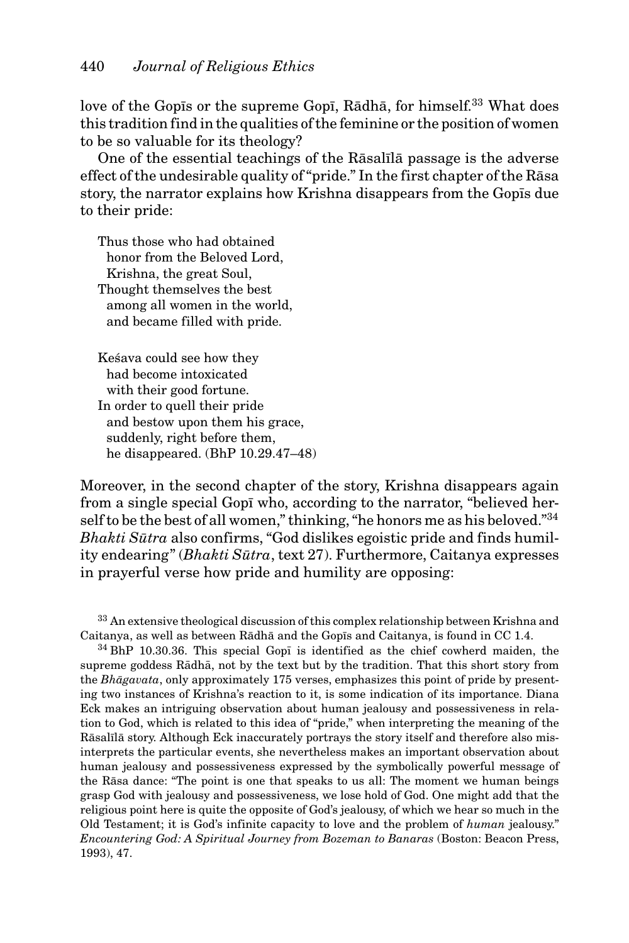love of the Gopīs or the supreme Gopī, Rādhā, for himself.<sup>33</sup> What does this tradition find in the qualities of the feminine or the position of women to be so valuable for its theology?

One of the essential teachings of the Rasalila passage is the adverse effect of the undesirable quality of "pride." In the first chapter of the Rāsa story, the narrator explains how Krishna disappears from the Gopts due to their pride:

Thus those who had obtained honor from the Beloved Lord, Krishna, the great Soul, Thought themselves the best among all women in the world, and became filled with pride.

Kesava could see how they had become intoxicated with their good fortune. In order to quell their pride and bestow upon them his grace, suddenly, right before them, he disappeared. (BhP 10.29.47–48)

Moreover, in the second chapter of the story, Krishna disappears again from a single special Gopī who, according to the narrator, "believed herself to be the best of all women," thinking, "he honors me as his beloved."34 *Bhakti Sūtra* also confirms, "God dislikes egoistic pride and finds humility endearing" (*Bhakti Sūtra*, text 27). Furthermore, Caitanya expresses in prayerful verse how pride and humility are opposing:

<sup>33</sup> An extensive theological discussion of this complex relationship between Krishna and Caitanya, as well as between Rādhā and the Gopīs and Caitanya, is found in CC 1.4.

 $34$  BhP 10.30.36. This special Gop $\bar{\text{i}}$  is identified as the chief cowherd maiden, the supreme goddess Rādhā, not by the text but by the tradition. That this short story from the *Bhāgavata*, only approximately 175 verses, emphasizes this point of pride by presenting two instances of Krishna's reaction to it, is some indication of its importance. Diana Eck makes an intriguing observation about human jealousy and possessiveness in relation to God, which is related to this idea of "pride," when interpreting the meaning of the Rāsalīlā story. Although Eck inaccurately portrays the story itself and therefore also misinterprets the particular events, she nevertheless makes an important observation about human jealousy and possessiveness expressed by the symbolically powerful message of the Rasa dance: "The point is one that speaks to us all: The moment we human beings grasp God with jealousy and possessiveness, we lose hold of God. One might add that the religious point here is quite the opposite of God's jealousy, of which we hear so much in the Old Testament; it is God's infinite capacity to love and the problem of *human* jealousy." *Encountering God: A Spiritual Journey from Bozeman to Banaras* (Boston: Beacon Press, 1993), 47.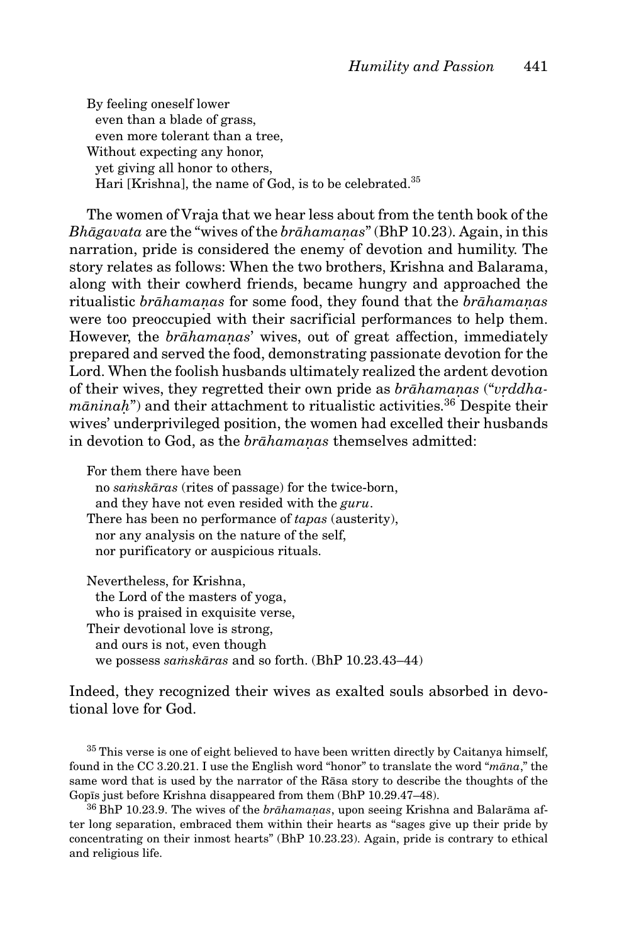By feeling oneself lower even than a blade of grass, even more tolerant than a tree, Without expecting any honor, yet giving all honor to others, Hari [Krishna], the name of God, is to be celebrated.<sup>35</sup>

The women of Vraja that we hear less about from the tenth book of the *Bhāgavata* are the "wives of the *brāhamanas*" (BhP 10.23). Again, in this narration, pride is considered the enemy of devotion and humility. The story relates as follows: When the two brothers, Krishna and Balarama, along with their cowherd friends, became hungry and approached the *ritualistic brāhamanas* for some food, they found that the *brāhamanas* were too preoccupied with their sacrificial performances to help them. However, the *brahamanas*' wives, out of great affection, immediately prepared and served the food, demonstrating passionate devotion for the Lord. When the foolish husbands ultimately realized the ardent devotion of their wives, they regretted their own pride as *brāhamanas* ("*vrddhamāninah*") and their attachment to ritualistic activities.<sup>36</sup> Despite their wives' underprivileged position, the women had excelled their husbands in devotion to God, as the *brāhamanas* themselves admitted:

For them there have been no *samskāras* (rites of passage) for the twice-born, and they have not even resided with the *guru*. There has been no performance of *tapas* (austerity), nor any analysis on the nature of the self, nor purificatory or auspicious rituals.

Nevertheless, for Krishna, the Lord of the masters of yoga, who is praised in exquisite verse, Their devotional love is strong, and ours is not, even though we possess *samskāras* and so forth. (BhP 10.23.43–44)

Indeed, they recognized their wives as exalted souls absorbed in devotional love for God.

<sup>35</sup> This verse is one of eight believed to have been written directly by Caitanya himself, found in the CC 3.20.21. I use the English word "honor" to translate the word "*mana ¯* ," the same word that is used by the narrator of the Rasa story to describe the thoughts of the Gopis just before Krishna disappeared from them (BhP 10.29.47–48).

<sup>36</sup> BhP 10.23.9. The wives of the *brāhamaṇas*, upon seeing Krishna and Balarāma after long separation, embraced them within their hearts as "sages give up their pride by concentrating on their inmost hearts" (BhP 10.23.23). Again, pride is contrary to ethical and religious life.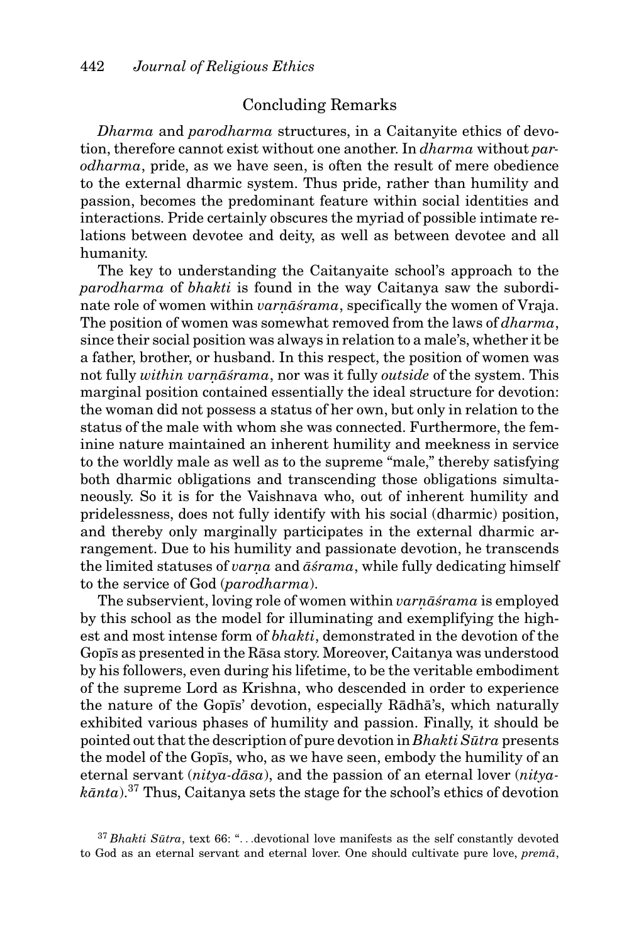## Concluding Remarks

*Dharma* and *parodharma* structures, in a Caitanyite ethics of devotion, therefore cannot exist without one another. In *dharma* without *parodharma*, pride, as we have seen, is often the result of mere obedience to the external dharmic system. Thus pride, rather than humility and passion, becomes the predominant feature within social identities and interactions. Pride certainly obscures the myriad of possible intimate relations between devotee and deity, as well as between devotee and all humanity.

The key to understanding the Caitanyaite school's approach to the *parodharma* of *bhakti* is found in the way Caitanya saw the subordinate role of women within *varnas rama*, specifically the women of Vraja. The position of women was somewhat removed from the laws of *dharma*, since their social position was always in relation to a male's, whether it be a father, brother, or husband. In this respect, the position of women was *not fully within varnāśrama*, nor was it fully *outside* of the system. This marginal position contained essentially the ideal structure for devotion: the woman did not possess a status of her own, but only in relation to the status of the male with whom she was connected. Furthermore, the feminine nature maintained an inherent humility and meekness in service to the worldly male as well as to the supreme "male," thereby satisfying both dharmic obligations and transcending those obligations simultaneously. So it is for the Vaishnava who, out of inherent humility and pridelessness, does not fully identify with his social (dharmic) position, and thereby only marginally participates in the external dharmic arrangement. Due to his humility and passionate devotion, he transcends the limited statuses of *varna* and  $\bar{a}$ *srama*, while fully dedicating himself to the service of God (*parodharma*).

The subservient, loving role of women within *varnas<sup>srama*</sup> is employed by this school as the model for illuminating and exemplifying the highest and most intense form of *bhakti*, demonstrated in the devotion of the Gopīs as presented in the Rāsa story. Moreover, Caitanya was understood by his followers, even during his lifetime, to be the veritable embodiment of the supreme Lord as Krishna, who descended in order to experience the nature of the Gopis' devotion, especially Radha's, which naturally exhibited various phases of humility and passion. Finally, it should be pointed out that the description of pure devotion in *Bhakti Sūtra* presents the model of the Gopis, who, as we have seen, embody the humility of an eternal servant  $(nitya-dāsa)$ , and the passion of an eternal lover  $(nitya-dāsa)$ .  $k\bar{a}nta$ <sup>37</sup> Thus, Caitanya sets the stage for the school's ethics of devotion

 $37 Bhakti Sūtra$ , text 66: "... devotional love manifests as the self constantly devoted to God as an eternal servant and eternal lover. One should cultivate pure love, *prema*,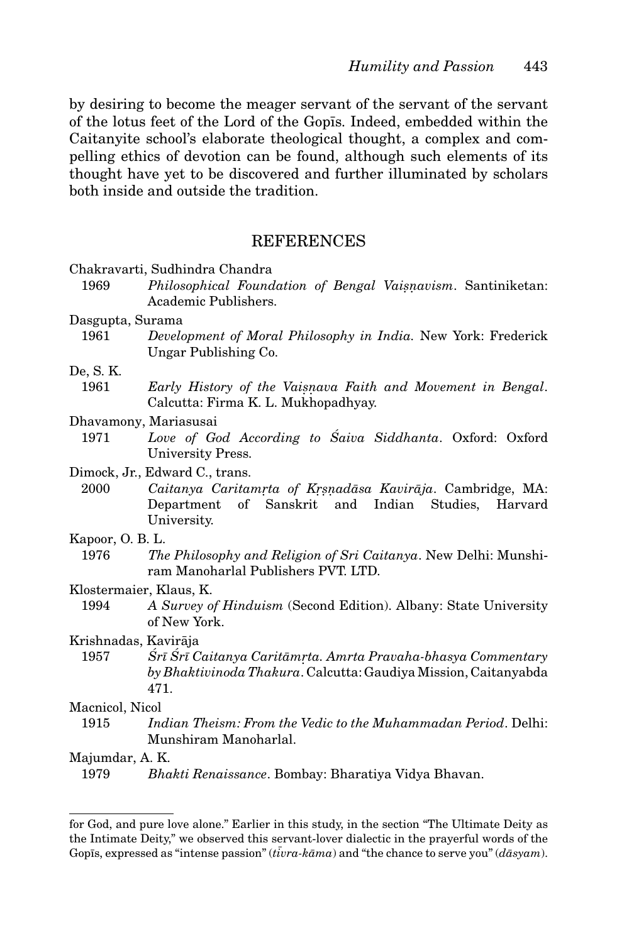by desiring to become the meager servant of the servant of the servant of the lotus feet of the Lord of the Gopīs. Indeed, embedded within the Caitanyite school's elaborate theological thought, a complex and compelling ethics of devotion can be found, although such elements of its thought have yet to be discovered and further illuminated by scholars both inside and outside the tradition.

## REFERENCES

|                         | Chakravarti, Sudhindra Chandra                                                                                                          |
|-------------------------|-----------------------------------------------------------------------------------------------------------------------------------------|
| 1969                    | Philosophical Foundation of Bengal Vaisnavism. Santiniketan:<br>Academic Publishers.                                                    |
| Dasgupta, Surama        |                                                                                                                                         |
| 1961                    | Development of Moral Philosophy in India. New York: Frederick<br>Ungar Publishing Co.                                                   |
| De, S. K.               |                                                                                                                                         |
| 1961                    | Early History of the Vaisnava Faith and Movement in Bengal.<br>Calcutta: Firma K. L. Mukhopadhyay.                                      |
|                         | Dhavamony, Mariasusai                                                                                                                   |
| 1971                    | Love of God According to Saiva Siddhanta. Oxford: Oxford<br>University Press.                                                           |
|                         | Dimock, Jr., Edward C., trans.                                                                                                          |
| 2000                    | Caitanya Caritamrta of Krsnadāsa Kavirāja. Cambridge, MA:<br>Department of Sanskrit and Indian<br>Studies, Harvard<br>University.       |
| Kapoor, O. B. L.        |                                                                                                                                         |
| 1976                    | The Philosophy and Religion of Sri Caitanya. New Delhi: Munshi-<br>ram Manoharlal Publishers PVT. LTD.                                  |
| Klostermaier, Klaus, K. |                                                                                                                                         |
| 1994                    | A Survey of Hinduism (Second Edition). Albany: State University<br>of New York.                                                         |
| Krishnadas, Kavirāja    |                                                                                                                                         |
| 1957                    | Śrī Śrī Caitanya Caritāmrta. Amrta Pravaha-bhasya Commentary<br>by Bhaktivinoda Thakura. Calcutta: Gaudiya Mission, Caitanyabda<br>471. |
| Macnicol, Nicol         |                                                                                                                                         |
| 1915                    | Indian Theism: From the Vedic to the Muhammadan Period. Delhi:<br>Munshiram Manoharlal.                                                 |
| Majumdar, A. K.         |                                                                                                                                         |
| 1979                    | Bhakti Renaissance. Bombay: Bharatiya Vidya Bhavan.                                                                                     |

for God, and pure love alone." Earlier in this study, in the section "The Ultimate Deity as the Intimate Deity," we observed this servant-lover dialectic in the prayerful words of the Gopīs, expressed as "intense passion" (*tīvra-kāma*) and "the chance to serve you" (*dāsyam*).